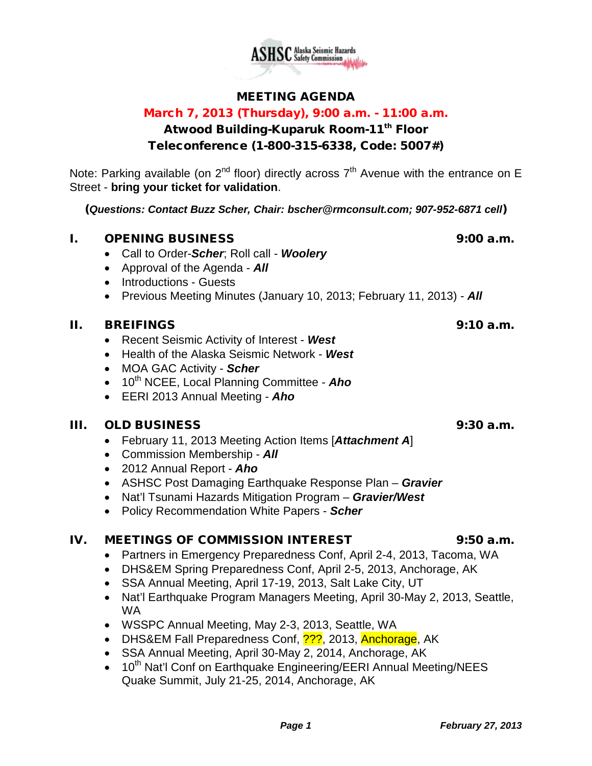

#### MEETING AGENDA

#### March 7, 2013 (Thursday), 9:00 a.m. - 11:00 a.m.

### Atwood Building-Kuparuk Room-11<sup>th</sup> Floor

#### Teleconference (1-800-315-6338, Code: 5007#)

Note: Parking available (on  $2^{nd}$  floor) directly across  $7^{th}$  Avenue with the entrance on E Street - **bring your ticket for validation**.

(*Questions: Contact Buzz Scher, Chair: [bscher@rmconsult.com;](mailto:bscher@rmconsult.com) 907-952-6871 cell*)

#### **I.** OPENING BUSINESS 9:00 a.m.

- Call to Order-*Scher*; Roll call *Woolery*
- Approval of the Agenda *All*
- Introductions Guests
- Previous Meeting Minutes (January 10, 2013; February 11, 2013) *All*

#### II. BREIFINGS 9:10 a.m.

- Recent Seismic Activity of Interest *West*
- Health of the Alaska Seismic Network *West*
- MOA GAC Activity *Scher*
- 10<sup>th</sup> NCEE, Local Planning Committee **Aho**
- EERI 2013 Annual Meeting *Aho*

#### III. OLD BUSINESS 9:30 a.m.

- February 11, 2013 Meeting Action Items [*Attachment A*]
- Commission Membership *All*
- 2012 Annual Report *Aho*
- ASHSC Post Damaging Earthquake Response Plan *Gravier*
- Nat'l Tsunami Hazards Mitigation Program *Gravier/West*
- Policy Recommendation White Papers *Scher*

#### IV. MEETINGS OF COMMISSION INTEREST 9:50 a.m.

- Partners in Emergency Preparedness Conf, April 2-4, 2013, Tacoma, WA
- DHS&EM Spring Preparedness Conf, April 2-5, 2013, Anchorage, AK
- SSA Annual Meeting, April 17-19, 2013, Salt Lake City, UT
- Nat'l Earthquake Program Managers Meeting, April 30-May 2, 2013, Seattle, WA
- WSSPC Annual Meeting, May 2-3, 2013, Seattle, WA
- DHS&EM Fall Preparedness Conf, 2??, 2013, Anchorage, AK
- SSA Annual Meeting, April 30-May 2, 2014, Anchorage, AK
- 10<sup>th</sup> Nat'l Conf on Earthquake Engineering/EERI Annual Meeting/NEES Quake Summit, July 21-25, 2014, Anchorage, AK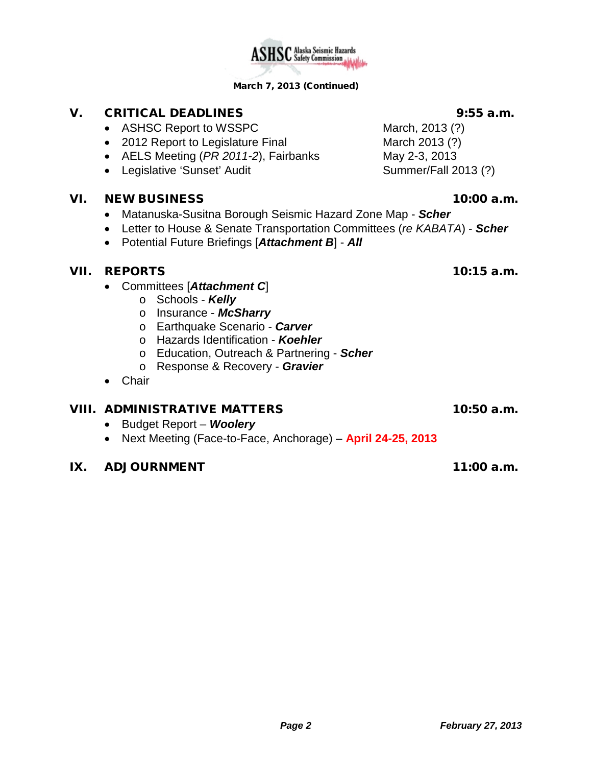#### *Page 2 February 27, 2013*

## V. CRITICAL DEADLINES 9:55 a.m.

- ASHSC Report to WSSPC March, 2013 (?)
- 2012 Report to Legislature Final March 2013 (?)
- AELS Meeting (*PR 2011-2*), Fairbanks May 2-3, 2013
- Legislative 'Sunset' Audit Summer/Fall 2013 (?)

#### VI. NEW BUSINESS 10:00 a.m.

- Matanuska-Susitna Borough Seismic Hazard Zone Map *Scher*
- Letter to House & Senate Transportation Committees (*re KABATA*) *Scher*
- Potential Future Briefings [*Attachment B*] *All*

#### VII. REPORTS 10:15 a.m.

- Committees [*Attachment C*]
	- o Schools *Kelly*
	- o Insurance *McSharry*
	- o Earthquake Scenario *Carver*
	- o Hazards Identification *Koehler*
	- o Education, Outreach & Partnering *Scher*
	- o Response & Recovery *Gravier*
- Chair

#### VIII. ADMINISTRATIVE MATTERS 10:50 a.m.

- Budget Report *Woolery*
- Next Meeting (Face-to-Face, Anchorage) **April 24-25, 2013**

#### IX. ADJOURNMENT 11:00 a.m.

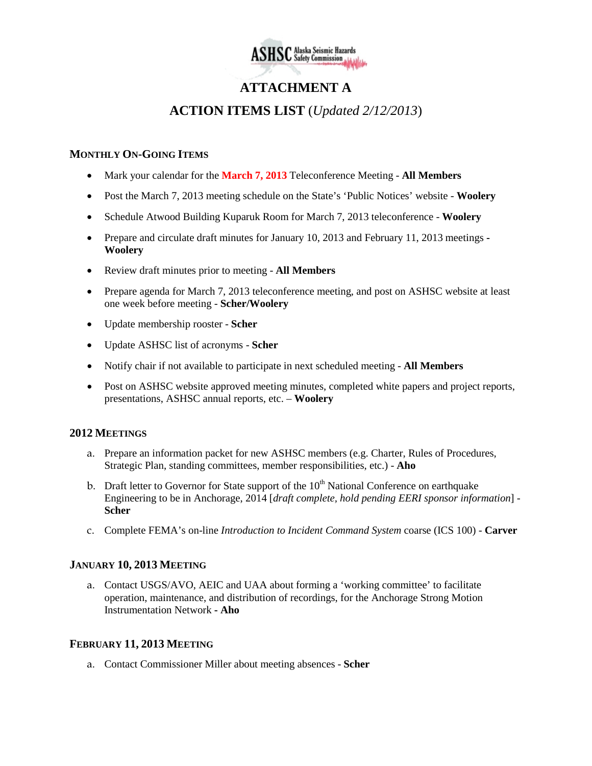

### **ATTACHMENT A**

#### **ACTION ITEMS LIST** (*Updated 2/12/2013*)

#### **MONTHLY ON-GOING ITEMS**

- Mark your calendar for the **March 7, 2013** Teleconference Meeting **All Members**
- Post the March 7, 2013 meeting schedule on the State's 'Public Notices' website **Woolery**
- Schedule Atwood Building Kuparuk Room for March 7, 2013 teleconference **Woolery**
- Prepare and circulate draft minutes for January 10, 2013 and February 11, 2013 meetings **- Woolery**
- Review draft minutes prior to meeting **All Members**
- Prepare agenda for March 7, 2013 teleconference meeting, and post on ASHSC website at least one week before meeting - **Scher/Woolery**
- Update membership rooster **Scher**
- Update ASHSC list of acronyms **Scher**
- Notify chair if not available to participate in next scheduled meeting **All Members**
- Post on ASHSC website approved meeting minutes, completed white papers and project reports, presentations, ASHSC annual reports, etc. – **Woolery**

#### **2012 MEETINGS**

- a. Prepare an information packet for new ASHSC members (e.g. Charter, Rules of Procedures, Strategic Plan, standing committees, member responsibilities, etc.) - **Aho**
- b. Draft letter to Governor for State support of the  $10<sup>th</sup>$  National Conference on earthquake Engineering to be in Anchorage, 2014 [*draft complete, hold pending EERI sponsor information*] - **Scher**
- c. Complete FEMA's on-line *Introduction to Incident Command System* coarse (ICS 100) **Carver**

#### **JANUARY 10, 2013 MEETING**

a. Contact USGS/AVO, AEIC and UAA about forming a 'working committee' to facilitate operation, maintenance, and distribution of recordings, for the Anchorage Strong Motion Instrumentation Network **- Aho**

#### **FEBRUARY 11, 2013 MEETING**

a. Contact Commissioner Miller about meeting absences - **Scher**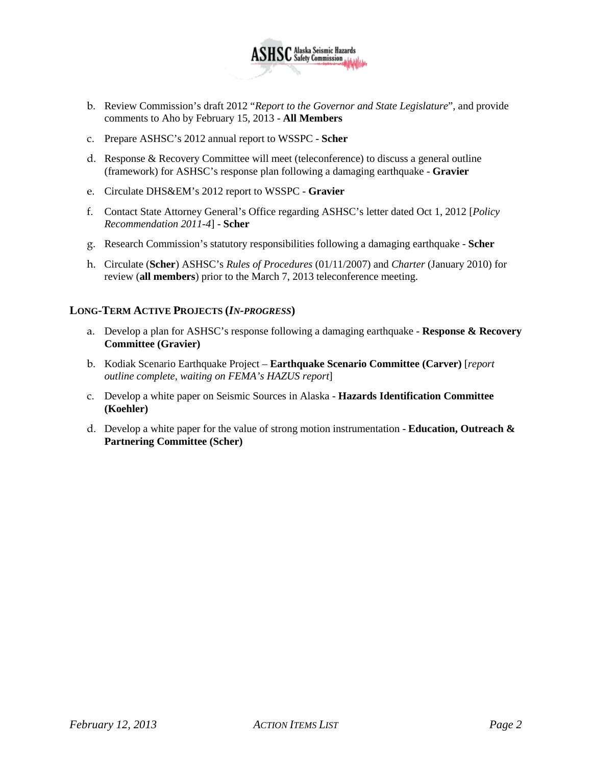

- b. Review Commission's draft 2012 "*Report to the Governor and State Legislature*", and provide comments to Aho by February 15, 2013 - **All Members**
- c. Prepare ASHSC's 2012 annual report to WSSPC **Scher**
- d. Response & Recovery Committee will meet (teleconference) to discuss a general outline (framework) for ASHSC's response plan following a damaging earthquake - **Gravier**
- e. Circulate DHS&EM's 2012 report to WSSPC **Gravier**
- f. Contact State Attorney General's Office regarding ASHSC's letter dated Oct 1, 2012 [*Policy Recommendation 2011-4*] - **Scher**
- g. Research Commission's statutory responsibilities following a damaging earthquake **Scher**
- h. Circulate (**Scher**) ASHSC's *Rules of Procedures* (01/11/2007) and *Charter* (January 2010) for review (**all members**) prior to the March 7, 2013 teleconference meeting.

#### **LONG-TERM ACTIVE PROJECTS (***IN-PROGRESS***)**

- a. Develop a plan for ASHSC's response following a damaging earthquake **Response & Recovery Committee (Gravier)**
- b. Kodiak Scenario Earthquake Project **Earthquake Scenario Committee (Carver)** [*report outline complete, waiting on FEMA's HAZUS report*]
- c. Develop a white paper on Seismic Sources in Alaska **Hazards Identification Committee (Koehler)**
- d. Develop a white paper for the value of strong motion instrumentation **Education, Outreach & Partnering Committee (Scher)**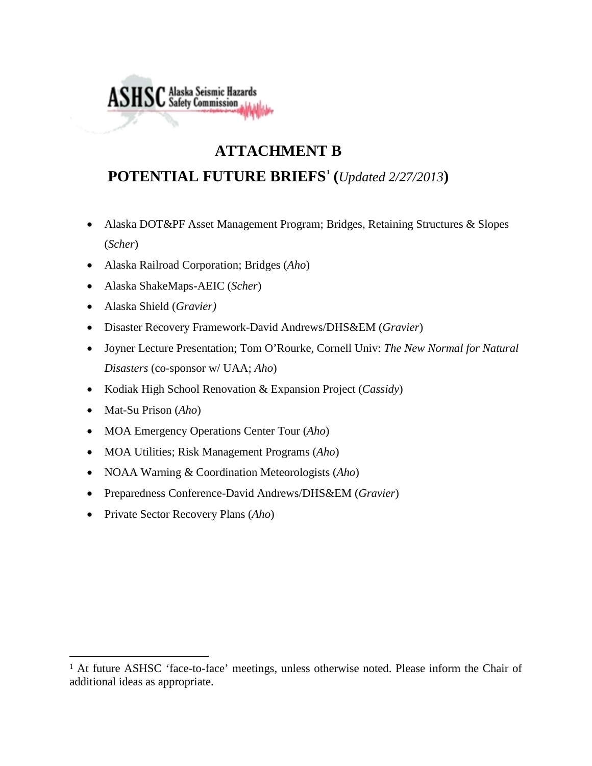# **ATTACHMENT B**

## **POTENTIAL FUTURE BRIEFS[1](#page-4-0) (***Updated 2/27/2013***)**

- Alaska DOT&PF Asset Management Program; Bridges, Retaining Structures & Slopes (*Scher*)
- Alaska Railroad Corporation; Bridges (*Aho*)
- Alaska ShakeMaps-AEIC (*Scher*)

**ASHSC** Alaska Seismic Hazards

- Alaska Shield (*Gravier)*
- Disaster Recovery Framework-David Andrews/DHS&EM (*Gravier*)
- Joyner Lecture Presentation; Tom O'Rourke, Cornell Univ: *The New Normal for Natural Disasters* (co-sponsor w/ UAA; *Aho*)
- Kodiak High School Renovation & Expansion Project (*Cassidy*)
- Mat-Su Prison (*Aho*)

 $\ddot{\phantom{a}}$ 

- MOA Emergency Operations Center Tour (*Aho*)
- MOA Utilities; Risk Management Programs (*Aho*)
- NOAA Warning & Coordination Meteorologists (*Aho*)
- Preparedness Conference-David Andrews/DHS&EM (*Gravier*)
- Private Sector Recovery Plans (*Aho*)

<span id="page-4-0"></span><sup>&</sup>lt;sup>1</sup> At future ASHSC 'face-to-face' meetings, unless otherwise noted. Please inform the Chair of additional ideas as appropriate.